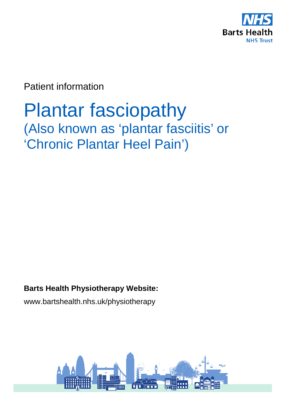

Patient information

# Plantar fasciopathy (Also known as 'plantar fasciitis' or 'Chronic Plantar Heel Pain')

#### **Barts Health Physiotherapy Website:**

www.bartshealth.nhs.uk/physiotherapy

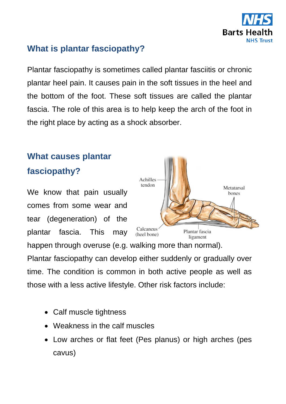

## **What is plantar fasciopathy?**

Plantar fasciopathy is sometimes called plantar fasciitis or chronic plantar heel pain. It causes pain in the soft tissues in the heel and the bottom of the foot. These soft tissues are called the plantar fascia. The role of this area is to help keep the arch of the foot in the right place by acting as a shock absorber.

## **What causes plantar fasciopathy?**

We know that pain usually comes from some wear and tear (degeneration) of the plantar fascia. This may



happen through overuse (e.g. walking more than normal).

Plantar fasciopathy can develop either suddenly or gradually over time. The condition is common in both active people as well as those with a less active lifestyle. Other risk factors include:

- Calf muscle tightness
- Weakness in the calf muscles
- Low arches or flat feet (Pes planus) or high arches (pes cavus)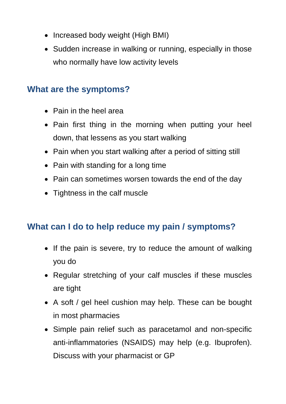- Increased body weight (High BMI)
- Sudden increase in walking or running, especially in those who normally have low activity levels

## **What are the symptoms?**

- Pain in the heel area
- Pain first thing in the morning when putting your heel down, that lessens as you start walking
- Pain when you start walking after a period of sitting still
- Pain with standing for a long time
- Pain can sometimes worsen towards the end of the day
- Tightness in the calf muscle

## **What can I do to help reduce my pain / symptoms?**

- If the pain is severe, try to reduce the amount of walking you do
- Regular stretching of your calf muscles if these muscles are tight
- A soft / gel heel cushion may help. These can be bought in most pharmacies
- Simple pain relief such as paracetamol and non-specific anti-inflammatories (NSAIDS) may help (e.g. Ibuprofen). Discuss with your pharmacist or GP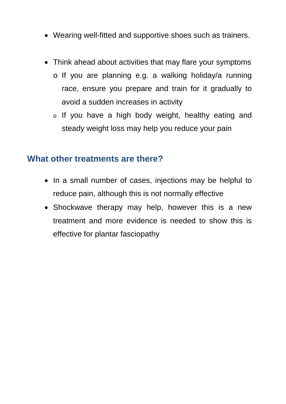- Wearing well-fitted and supportive shoes such as trainers.
- Think ahead about activities that may flare your symptoms
	- o If you are planning e.g. a walking holiday/a running race, ensure you prepare and train for it gradually to avoid a sudden increases in activity
	- o If you have a high body weight, healthy eating and steady weight loss may help you reduce your pain

### **What other treatments are there?**

- In a small number of cases, injections may be helpful to reduce pain, although this is not normally effective
- Shockwave therapy may help, however this is a new treatment and more evidence is needed to show this is effective for plantar fasciopathy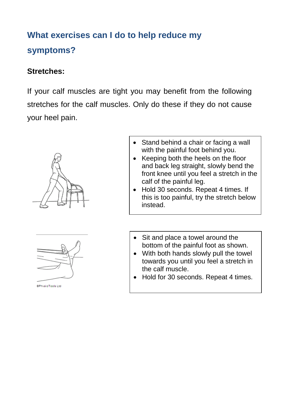# **What exercises can I do to help reduce my symptoms?**

#### **Stretches:**

If your calf muscles are tight you may benefit from the following stretches for the calf muscles. Only do these if they do not cause your heel pain.





@PhysioTools Ltd

- Stand behind a chair or facing a wall with the painful foot behind you.
- Keeping both the heels on the floor and back leg straight, slowly bend the front knee until you feel a stretch in the calf of the painful leg.
- Hold 30 seconds. Repeat 4 times. If this is too painful, try the stretch below instead.
- Sit and place a towel around the bottom of the painful foot as shown.
- With both hands slowly pull the towel towards you until you feel a stretch in the calf muscle.
- Hold for 30 seconds. Repeat 4 times.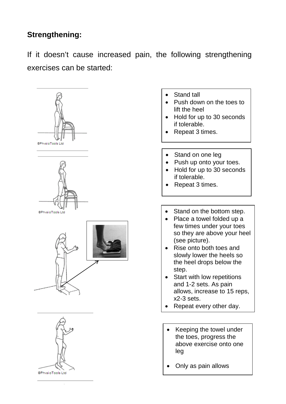## **Strengthening:**

If it doesn't cause increased pain, the following strengthening exercises can be started:



- Stand tall
- Push down on the toes to lift the heel
- Hold for up to 30 seconds if tolerable.
- Repeat 3 times.
- Stand on one leg
- Push up onto your toes.
- Hold for up to 30 seconds if tolerable.
- Repeat 3 times.
- Stand on the bottom step.
- Place a towel folded up a few times under your toes so they are above your heel (see picture).
- Rise onto both toes and slowly lower the heels so the heel drops below the step.
- Start with low repetitions and 1-2 sets. As pain allows, increase to 15 reps, x2-3 sets.
- Repeat every other day.
- Keeping the towel under the toes, progress the above exercise onto one leg
- Only as pain allows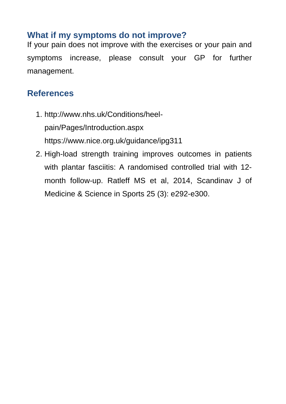## **What if my symptoms do not improve?**

If your pain does not improve with the exercises or your pain and symptoms increase, please consult your GP for further management.

## **References**

- 1. [http://www.nhs.uk/Conditions/heel](http://www.nhs.uk/Conditions/heel-pain/Pages/Introduction.aspx)[pain/Pages/Introduction.aspx](http://www.nhs.uk/Conditions/heel-pain/Pages/Introduction.aspx) <https://www.nice.org.uk/guidance/ipg311>
- 2. High-load strength training improves outcomes in patients with plantar fasciitis: A randomised controlled trial with 12 month follow-up. Ratleff MS et al, 2014, Scandinav J of Medicine & Science in Sports 25 (3): e292-e300.